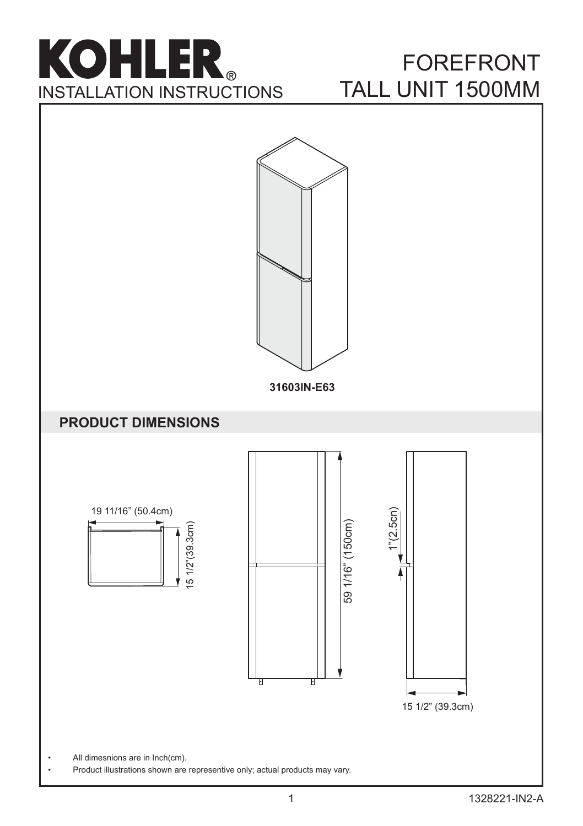

# FOREFRONT TALL UNIT 1500MM

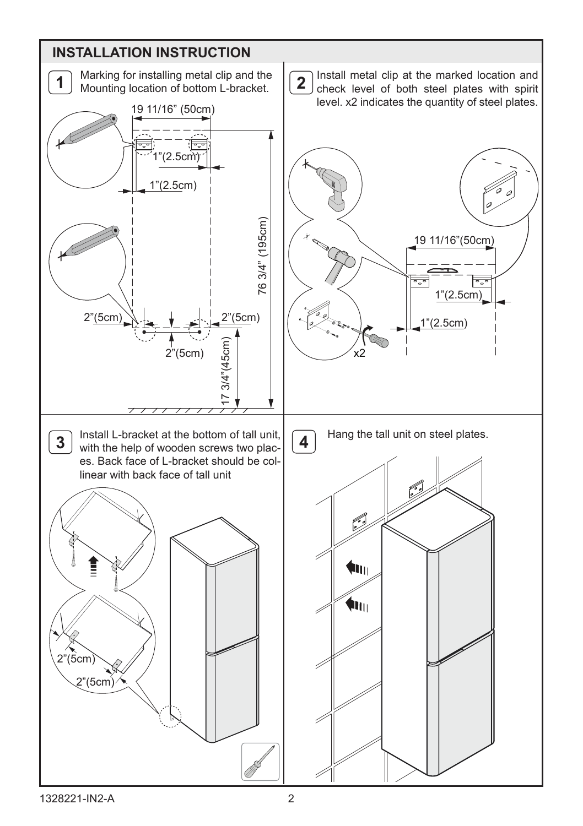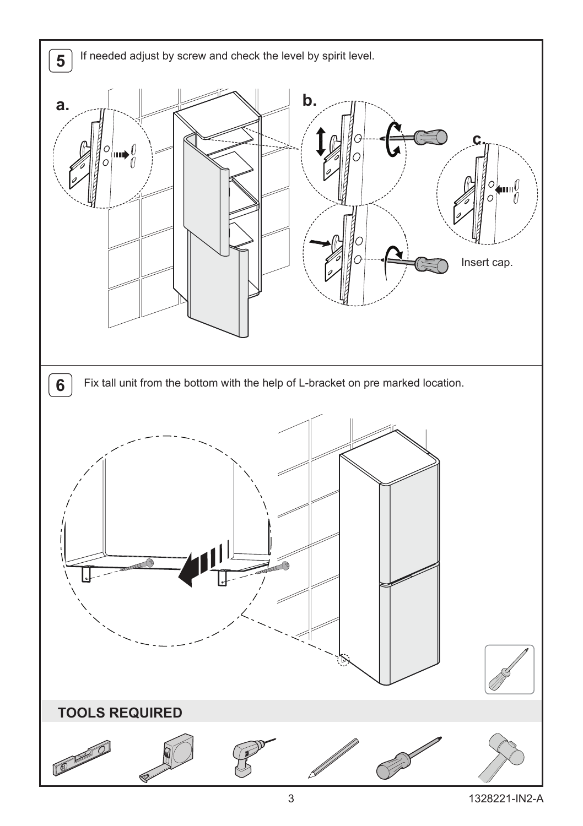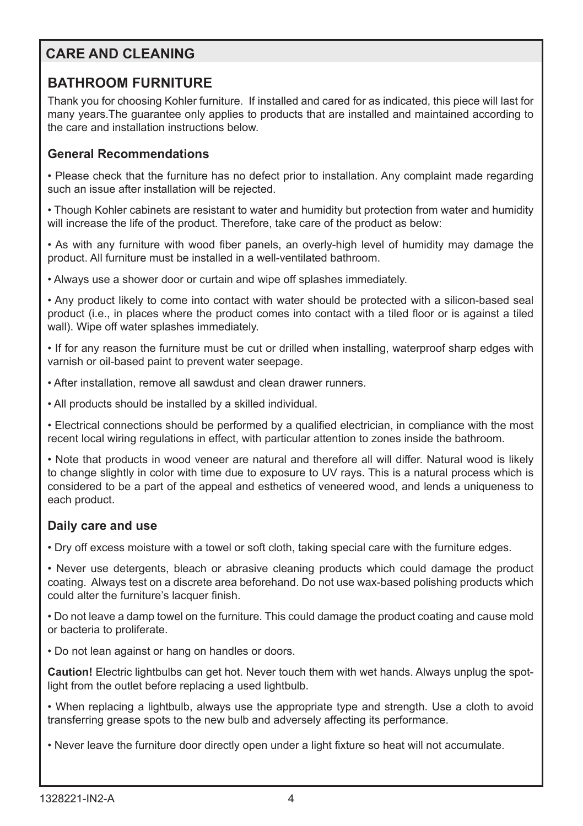# **CARE AND CLEANING**

# **BATHROOM FURNITURE**

Thank you for choosing Kohler furniture. If installed and cared for as indicated, this piece will last for many years.The guarantee only applies to products that are installed and maintained according to the care and installation instructions below.

## **General Recommendations**

• Please check that the furniture has no defect prior to installation. Any complaint made regarding such an issue after installation will be rejected.

• Though Kohler cabinets are resistant to water and humidity but protection from water and humidity will increase the life of the product. Therefore, take care of the product as below:

• As with any furniture with wood fiber panels, an overly-high level of humidity may damage the product. All furniture must be installed in a well-ventilated bathroom.

• Always use a shower door or curtain and wipe off splashes immediately.

• Any product likely to come into contact with water should be protected with a silicon-based seal product (i.e., in places where the product comes into contact with a tiled floor or is against a tiled wall). Wipe off water splashes immediately.

• If for any reason the furniture must be cut or drilled when installing, waterproof sharp edges with varnish or oil-based paint to prevent water seepage.

• After installation, remove all sawdust and clean drawer runners.

• All products should be installed by a skilled individual.

• Electrical connections should be performed by a qualified electrician, in compliance with the most recent local wiring regulations in effect, with particular attention to zones inside the bathroom.

• Note that products in wood veneer are natural and therefore all will differ. Natural wood is likely to change slightly in color with time due to exposure to UV rays. This is a natural process which is considered to be a part of the appeal and esthetics of veneered wood, and lends a uniqueness to each product.

#### **Daily care and use**

• Dry off excess moisture with a towel or soft cloth, taking special care with the furniture edges.

• Never use detergents, bleach or abrasive cleaning products which could damage the product coating. Always test on a discrete area beforehand. Do not use wax-based polishing products which could alter the furniture's lacquer finish.

• Do not leave a damp towel on the furniture. This could damage the product coating and cause mold or bacteria to proliferate.

• Do not lean against or hang on handles or doors.

**Caution!** Electric lightbulbs can get hot. Never touch them with wet hands. Always unplug the spotlight from the outlet before replacing a used lightbulb.

• When replacing a lightbulb, always use the appropriate type and strength. Use a cloth to avoid transferring grease spots to the new bulb and adversely affecting its performance.

• Never leave the furniture door directly open under a light fixture so heat will not accumulate.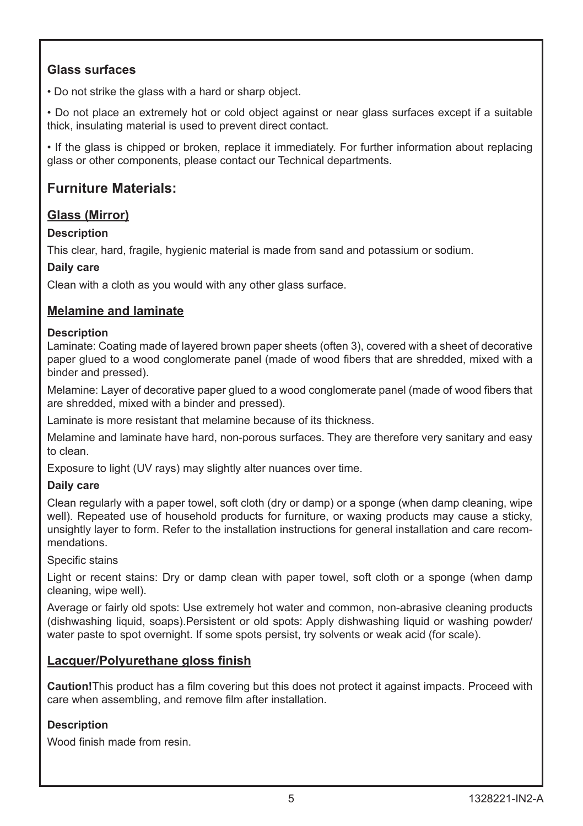## **Glass surfaces**

• Do not strike the glass with a hard or sharp object.

• Do not place an extremely hot or cold object against or near glass surfaces except if a suitable thick, insulating material is used to prevent direct contact.

• If the glass is chipped or broken, replace it immediately. For further information about replacing glass or other components, please contact our Technical departments.

# **Furniture Materials:**

## **Glass (Mirror)**

## **Description**

This clear, hard, fragile, hygienic material is made from sand and potassium or sodium.

## **Daily care**

Clean with a cloth as you would with any other glass surface.

## **Melamine and laminate**

### **Description**

Laminate: Coating made of layered brown paper sheets (often 3), covered with a sheet of decorative paper glued to a wood conglomerate panel (made of wood fibers that are shredded, mixed with a binder and pressed).

Melamine: Layer of decorative paper glued to a wood conglomerate panel (made of wood fibers that are shredded, mixed with a binder and pressed).

Laminate is more resistant that melamine because of its thickness.

Melamine and laminate have hard, non-porous surfaces. They are therefore very sanitary and easy to clean.

Exposure to light (UV rays) may slightly alter nuances over time.

## **Daily care**

Clean regularly with a paper towel, soft cloth (dry or damp) or a sponge (when damp cleaning, wipe well). Repeated use of household products for furniture, or waxing products may cause a sticky, unsightly layer to form. Refer to the installation instructions for general installation and care recommendations.

Specific stains

Light or recent stains: Dry or damp clean with paper towel, soft cloth or a sponge (when damp cleaning, wipe well).

Average or fairly old spots: Use extremely hot water and common, non-abrasive cleaning products (dishwashing liquid, soaps).Persistent or old spots: Apply dishwashing liquid or washing powder/ water paste to spot overnight. If some spots persist, try solvents or weak acid (for scale).

## **Lacquer/Polyurethane gloss finish**

**Caution!**This product has a film covering but this does not protect it against impacts. Proceed with care when assembling, and remove film after installation.

## **Description**

Wood finish made from resin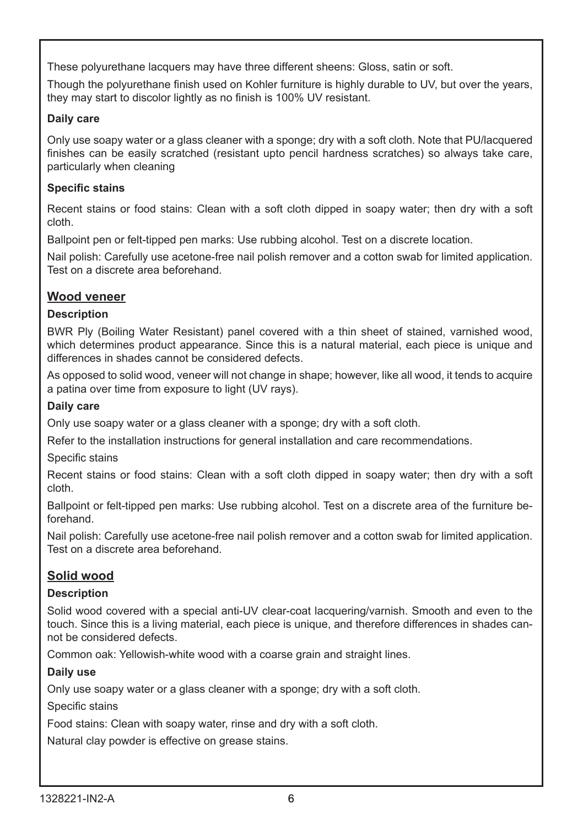These polyurethane lacquers may have three different sheens: Gloss, satin or soft.

Though the polyurethane finish used on Kohler furniture is highly durable to UV, but over the years, they may start to discolor lightly as no finish is 100% UV resistant.

## **Daily care**

Only use soapy water or a glass cleaner with a sponge; dry with a soft cloth. Note that PU/lacquered finishes can be easily scratched (resistant upto pencil hardness scratches) so always take care, particularly when cleaning

#### **Specific stains**

Recent stains or food stains: Clean with a soft cloth dipped in soapy water; then dry with a soft cloth.

Ballpoint pen or felt-tipped pen marks: Use rubbing alcohol. Test on a discrete location.

Nail polish: Carefully use acetone-free nail polish remover and a cotton swab for limited application. Test on a discrete area beforehand.

## **Wood veneer**

### **Description**

BWR Ply (Boiling Water Resistant) panel covered with a thin sheet of stained, varnished wood, which determines product appearance. Since this is a natural material, each piece is unique and differences in shades cannot be considered defects.

As opposed to solid wood, veneer will not change in shape; however, like all wood, it tends to acquire a patina over time from exposure to light (UV rays).

### **Daily care**

Only use soapy water or a glass cleaner with a sponge; dry with a soft cloth.

Refer to the installation instructions for general installation and care recommendations.

Specific stains

Recent stains or food stains: Clean with a soft cloth dipped in soapy water; then dry with a soft cloth.

Ballpoint or felt-tipped pen marks: Use rubbing alcohol. Test on a discrete area of the furniture beforehand.

Nail polish: Carefully use acetone-free nail polish remover and a cotton swab for limited application. Test on a discrete area beforehand.

## **Solid wood**

#### **Description**

Solid wood covered with a special anti-UV clear-coat lacquering/varnish. Smooth and even to the touch. Since this is a living material, each piece is unique, and therefore differences in shades cannot be considered defects.

Common oak: Yellowish-white wood with a coarse grain and straight lines.

#### **Daily use**

Only use soapy water or a glass cleaner with a sponge; dry with a soft cloth.

Specific stains

Food stains: Clean with soapy water, rinse and dry with a soft cloth.

Natural clay powder is effective on grease stains.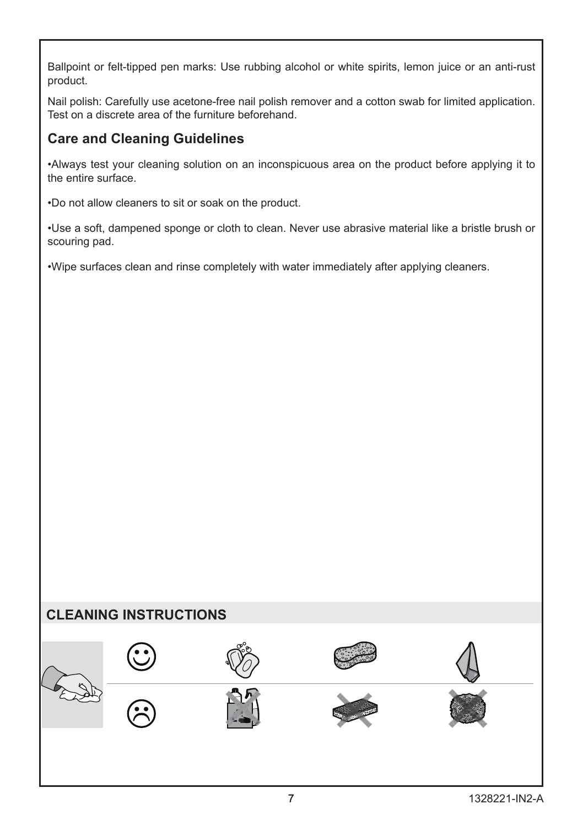Ballpoint or felt-tipped pen marks: Use rubbing alcohol or white spirits, lemon juice or an anti-rust product.

Nail polish: Carefully use acetone-free nail polish remover and a cotton swab for limited application. Test on a discrete area of the furniture beforehand.

# **Care and Cleaning Guidelines**

•Always test your cleaning solution on an inconspicuous area on the product before applying it to the entire surface.

•Do not allow cleaners to sit or soak on the product.

•Use a soft, dampened sponge or cloth to clean. Never use abrasive material like a bristle brush or scouring pad.

•Wipe surfaces clean and rinse completely with water immediately after applying cleaners.

# **CLEANING INSTRUCTIONS**